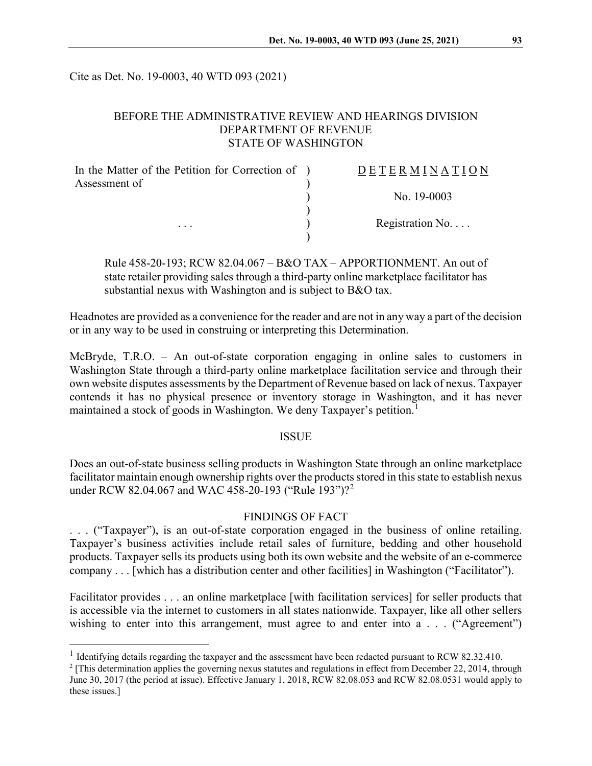Cite as Det. No. 19-0003, 40 WTD 093 (2021)

# BEFORE THE ADMINISTRATIVE REVIEW AND HEARINGS DIVISION DEPARTMENT OF REVENUE STATE OF WASHINGTON

| In the Matter of the Petition for Correction of ) | DETERMINATION            |
|---------------------------------------------------|--------------------------|
| Assessment of                                     | No. $19-0003$            |
|                                                   |                          |
| $\cdots$                                          | Registration No. $\dots$ |
|                                                   |                          |

Rule 458-20-193; RCW 82.04.067 – B&O TAX – APPORTIONMENT. An out of state retailer providing sales through a third-party online marketplace facilitator has substantial nexus with Washington and is subject to B&O tax.

Headnotes are provided as a convenience for the reader and are not in any way a part of the decision or in any way to be used in construing or interpreting this Determination.

McBryde, T.R.O. – An out-of-state corporation engaging in online sales to customers in Washington State through a third-party online marketplace facilitation service and through their own website disputes assessments by the Department of Revenue based on lack of nexus. Taxpayer contends it has no physical presence or inventory storage in Washington, and it has never maintained a stock of goods in Washington. We deny Taxpayer's petition.<sup>[1](#page-0-0)</sup>

#### **ISSUE**

Does an out-of-state business selling products in Washington State through an online marketplace facilitator maintain enough ownership rights over the products stored in this state to establish nexus under RCW 8[2](#page-0-1).04.067 and WAC 458-20-193 ("Rule 193")?<sup>2</sup>

#### FINDINGS OF FACT

. . . ("Taxpayer"), is an out-of-state corporation engaged in the business of online retailing. Taxpayer's business activities include retail sales of furniture, bedding and other household products. Taxpayer sells its products using both its own website and the website of an e-commerce company . . . [which has a distribution center and other facilities] in Washington ("Facilitator").

Facilitator provides . . . an online marketplace [with facilitation services] for seller products that is accessible via the internet to customers in all states nationwide. Taxpayer, like all other sellers wishing to enter into this arrangement, must agree to and enter into a . . . ("Agreement")

<span id="page-0-0"></span><sup>&</sup>lt;sup>1</sup> Identifying details regarding the taxpayer and the assessment have been redacted pursuant to RCW 82.32.410.

<span id="page-0-1"></span> $2$  [This determination applies the governing nexus statutes and regulations in effect from December 22, 2014, through June 30, 2017 (the period at issue). Effective January 1, 2018, RCW 82.08.053 and RCW 82.08.0531 would apply to these issues.]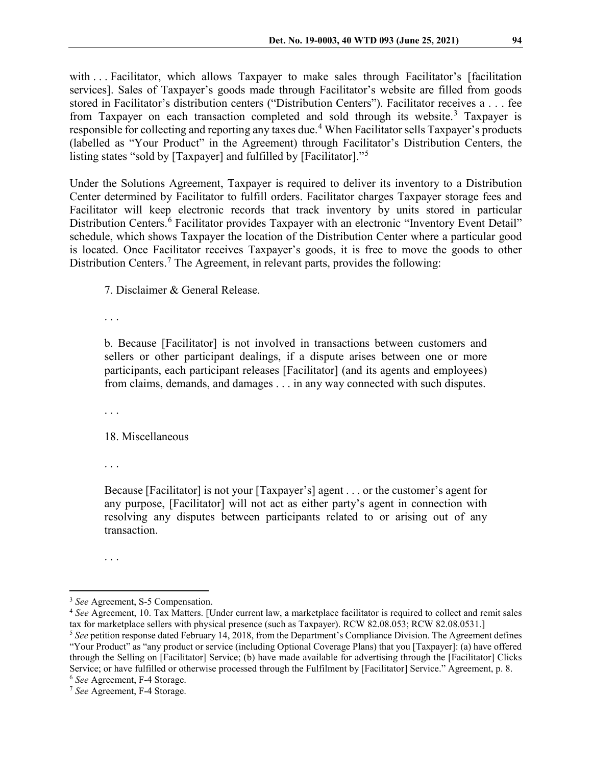with . . . Facilitator, which allows Taxpayer to make sales through Facilitator's [facilitation services]. Sales of Taxpayer's goods made through Facilitator's website are filled from goods stored in Facilitator's distribution centers ("Distribution Centers"). Facilitator receives a . . . fee from Taxpayer on each transaction completed and sold through its website.<sup>[3](#page-1-0)</sup> Taxpayer is responsible for collecting and reporting any taxes due.<sup>[4](#page-1-1)</sup> When Facilitator sells Taxpayer's products (labelled as "Your Product" in the Agreement) through Facilitator's Distribution Centers, the listing states "sold by [Taxpayer] and fulfilled by [Facilitator]."[5](#page-1-2)

Under the Solutions Agreement, Taxpayer is required to deliver its inventory to a Distribution Center determined by Facilitator to fulfill orders. Facilitator charges Taxpayer storage fees and Facilitator will keep electronic records that track inventory by units stored in particular Distribution Centers.<sup>[6](#page-1-3)</sup> Facilitator provides Taxpayer with an electronic "Inventory Event Detail" schedule, which shows Taxpayer the location of the Distribution Center where a particular good is located. Once Facilitator receives Taxpayer's goods, it is free to move the goods to other Distribution Centers.[7](#page-1-4) The Agreement, in relevant parts, provides the following:

7. Disclaimer & General Release.

. . .

b. Because [Facilitator] is not involved in transactions between customers and sellers or other participant dealings, if a dispute arises between one or more participants, each participant releases [Facilitator] (and its agents and employees) from claims, demands, and damages . . . in any way connected with such disputes.

. . .

18. Miscellaneous

. . .

Because [Facilitator] is not your [Taxpayer's] agent . . . or the customer's agent for any purpose, [Facilitator] will not act as either party's agent in connection with resolving any disputes between participants related to or arising out of any transaction.

. . .

<span id="page-1-0"></span> <sup>3</sup> *See* Agreement, S-5 Compensation.

<span id="page-1-2"></span><span id="page-1-1"></span><sup>4</sup> *See* Agreement, 10. Tax Matters. [Under current law, a marketplace facilitator is required to collect and remit sales tax for marketplace sellers with physical presence (such as Taxpayer). RCW 82.08.053; RCW 82.08.0531.] <sup>5</sup> *See* petition response dated February 14, 2018, from the Department's Compliance Division. The Agreement defines "Your Product" as "any product or service (including Optional Coverage Plans) that you [Taxpayer]: (a) have offered through the Selling on [Facilitator] Service; (b) have made available for advertising through the [Facilitator] Clicks Service; or have fulfilled or otherwise processed through the Fulfilment by [Facilitator] Service." Agreement, p. 8.

<span id="page-1-3"></span><sup>6</sup> *See* Agreement, F-4 Storage.

<span id="page-1-4"></span><sup>7</sup> *See* Agreement, F-4 Storage.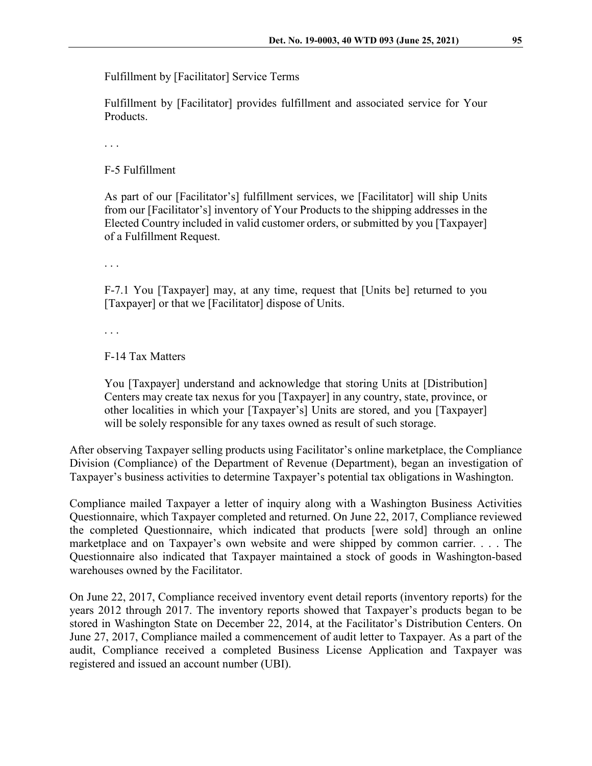Fulfillment by [Facilitator] Service Terms

Fulfillment by [Facilitator] provides fulfillment and associated service for Your Products.

. . .

F-5 Fulfillment

As part of our [Facilitator's] fulfillment services, we [Facilitator] will ship Units from our [Facilitator's] inventory of Your Products to the shipping addresses in the Elected Country included in valid customer orders, or submitted by you [Taxpayer] of a Fulfillment Request.

. . .

F-7.1 You [Taxpayer] may, at any time, request that [Units be] returned to you [Taxpayer] or that we [Facilitator] dispose of Units.

. . .

F-14 Tax Matters

You [Taxpayer] understand and acknowledge that storing Units at [Distribution] Centers may create tax nexus for you [Taxpayer] in any country, state, province, or other localities in which your [Taxpayer's] Units are stored, and you [Taxpayer] will be solely responsible for any taxes owned as result of such storage.

After observing Taxpayer selling products using Facilitator's online marketplace, the Compliance Division (Compliance) of the Department of Revenue (Department), began an investigation of Taxpayer's business activities to determine Taxpayer's potential tax obligations in Washington.

Compliance mailed Taxpayer a letter of inquiry along with a Washington Business Activities Questionnaire, which Taxpayer completed and returned. On June 22, 2017, Compliance reviewed the completed Questionnaire, which indicated that products [were sold] through an online marketplace and on Taxpayer's own website and were shipped by common carrier. . . . The Questionnaire also indicated that Taxpayer maintained a stock of goods in Washington-based warehouses owned by the Facilitator.

On June 22, 2017, Compliance received inventory event detail reports (inventory reports) for the years 2012 through 2017. The inventory reports showed that Taxpayer's products began to be stored in Washington State on December 22, 2014, at the Facilitator's Distribution Centers. On June 27, 2017, Compliance mailed a commencement of audit letter to Taxpayer. As a part of the audit, Compliance received a completed Business License Application and Taxpayer was registered and issued an account number (UBI).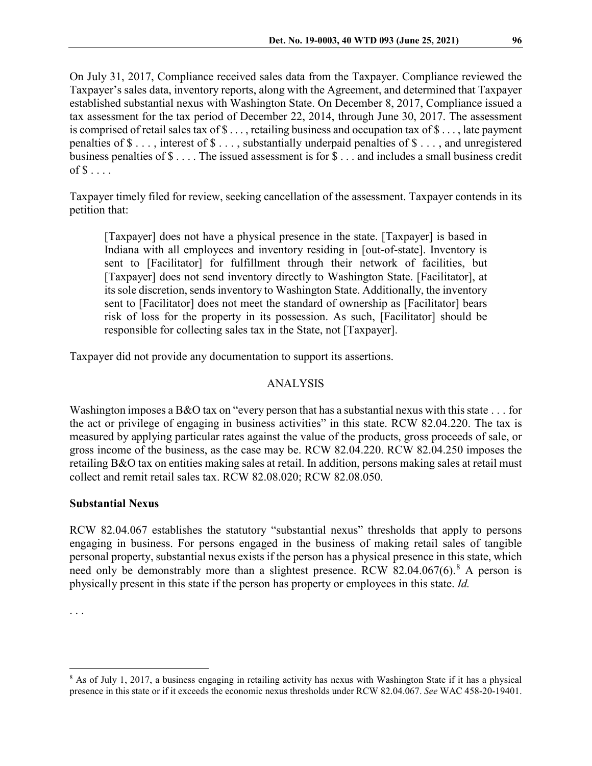On July 31, 2017, Compliance received sales data from the Taxpayer. Compliance reviewed the Taxpayer's sales data, inventory reports, along with the Agreement, and determined that Taxpayer established substantial nexus with Washington State. On December 8, 2017, Compliance issued a tax assessment for the tax period of December 22, 2014, through June 30, 2017. The assessment is comprised of retail sales tax of  $\$\ldots$ , retailing business and occupation tax of  $\$\ldots$ , late payment penalties of \$ . . . , interest of \$ . . . , substantially underpaid penalties of \$ . . . , and unregistered business penalties of \$ . . . . The issued assessment is for \$ . . . and includes a small business credit of  $\$\ldots$ .

Taxpayer timely filed for review, seeking cancellation of the assessment. Taxpayer contends in its petition that:

[Taxpayer] does not have a physical presence in the state. [Taxpayer] is based in Indiana with all employees and inventory residing in [out-of-state]. Inventory is sent to [Facilitator] for fulfillment through their network of facilities, but [Taxpayer] does not send inventory directly to Washington State. [Facilitator], at its sole discretion, sends inventory to Washington State. Additionally, the inventory sent to [Facilitator] does not meet the standard of ownership as [Facilitator] bears risk of loss for the property in its possession. As such, [Facilitator] should be responsible for collecting sales tax in the State, not [Taxpayer].

Taxpayer did not provide any documentation to support its assertions.

## ANALYSIS

Washington imposes a B&O tax on "every person that has a substantial nexus with this state . . . for the act or privilege of engaging in business activities" in this state. RCW 82.04.220. The tax is measured by applying particular rates against the value of the products, gross proceeds of sale, or gross income of the business, as the case may be. RCW 82.04.220. RCW 82.04.250 imposes the retailing B&O tax on entities making sales at retail. In addition, persons making sales at retail must collect and remit retail sales tax. RCW 82.08.020; RCW 82.08.050.

## **Substantial Nexus**

RCW 82.04.067 establishes the statutory "substantial nexus" thresholds that apply to persons engaging in business. For persons engaged in the business of making retail sales of tangible personal property, substantial nexus exists if the person has a physical presence in this state, which need only be demonstrably more than a slightest presence. RCW [8](#page-3-0)2.04.067(6).<sup>8</sup> A person is physically present in this state if the person has property or employees in this state. *Id.*

<sup>. . .</sup>

<span id="page-3-0"></span><sup>&</sup>lt;sup>8</sup> As of July 1, 2017, a business engaging in retailing activity has nexus with Washington State if it has a physical presence in this state or if it exceeds the economic nexus thresholds under RCW 82.04.067. *See* WAC 458-20-19401.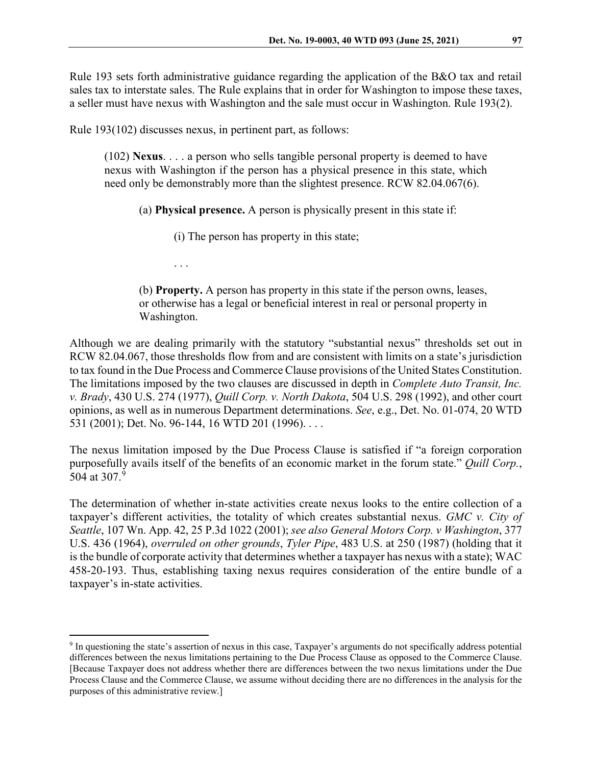Rule 193 sets forth administrative guidance regarding the application of the B&O tax and retail sales tax to interstate sales. The Rule explains that in order for Washington to impose these taxes, a seller must have nexus with Washington and the sale must occur in Washington. Rule 193(2).

Rule 193(102) discusses nexus, in pertinent part, as follows:

(102) **Nexus**. . . . a person who sells tangible personal property is deemed to have nexus with Washington if the person has a physical presence in this state, which need only be demonstrably more than the slightest presence. RCW 82.04.067(6).

(a) **Physical presence.** A person is physically present in this state if:

(i) The person has property in this state;

. . .

(b) **Property.** A person has property in this state if the person owns, leases, or otherwise has a legal or beneficial interest in real or personal property in Washington.

Although we are dealing primarily with the statutory "substantial nexus" thresholds set out in RCW 82.04.067, those thresholds flow from and are consistent with limits on a state's jurisdiction to tax found in the Due Process and Commerce Clause provisions of the United States Constitution. The limitations imposed by the two clauses are discussed in depth in *Complete Auto Transit, Inc. v. Brady*, 430 U.S. 274 (1977), *Quill Corp. v. North Dakota*, 504 U.S. 298 (1992), and other court opinions, as well as in numerous Department determinations. *See*, e.g., Det. No. 01-074, 20 WTD 531 (2001); Det. No. 96-144, 16 WTD 201 (1996). . . .

The nexus limitation imposed by the Due Process Clause is satisfied if "a foreign corporation purposefully avails itself of the benefits of an economic market in the forum state." *Quill Corp.*, 504 at 307.<sup>[9](#page-4-0)</sup>

The determination of whether in-state activities create nexus looks to the entire collection of a taxpayer's different activities, the totality of which creates substantial nexus. *GMC v. City of Seattle*, 107 Wn. App. 42, 25 P.3d 1022 (2001); *see also General Motors Corp. v Washington*, 377 U.S. 436 (1964), *overruled on other grounds*, *Tyler Pipe*, 483 U.S. at 250 (1987) (holding that it is the bundle of corporate activity that determines whether a taxpayer has nexus with a state); WAC 458-20-193. Thus, establishing taxing nexus requires consideration of the entire bundle of a taxpayer's in-state activities.

<span id="page-4-0"></span><sup>&</sup>lt;sup>9</sup> In questioning the state's assertion of nexus in this case, Taxpayer's arguments do not specifically address potential differences between the nexus limitations pertaining to the Due Process Clause as opposed to the Commerce Clause. [Because Taxpayer does not address whether there are differences between the two nexus limitations under the Due Process Clause and the Commerce Clause, we assume without deciding there are no differences in the analysis for the purposes of this administrative review.]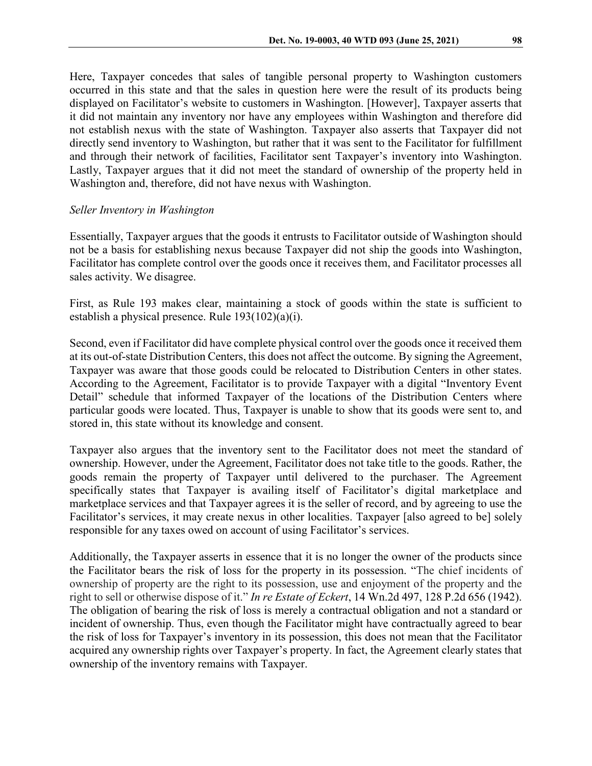Here, Taxpayer concedes that sales of tangible personal property to Washington customers occurred in this state and that the sales in question here were the result of its products being displayed on Facilitator's website to customers in Washington. [However], Taxpayer asserts that it did not maintain any inventory nor have any employees within Washington and therefore did not establish nexus with the state of Washington. Taxpayer also asserts that Taxpayer did not directly send inventory to Washington, but rather that it was sent to the Facilitator for fulfillment and through their network of facilities, Facilitator sent Taxpayer's inventory into Washington. Lastly, Taxpayer argues that it did not meet the standard of ownership of the property held in Washington and, therefore, did not have nexus with Washington.

# *Seller Inventory in Washington*

Essentially, Taxpayer argues that the goods it entrusts to Facilitator outside of Washington should not be a basis for establishing nexus because Taxpayer did not ship the goods into Washington, Facilitator has complete control over the goods once it receives them, and Facilitator processes all sales activity. We disagree.

First, as Rule 193 makes clear, maintaining a stock of goods within the state is sufficient to establish a physical presence. Rule 193(102)(a)(i).

Second, even if Facilitator did have complete physical control over the goods once it received them at its out-of-state Distribution Centers, this does not affect the outcome. By signing the Agreement, Taxpayer was aware that those goods could be relocated to Distribution Centers in other states. According to the Agreement, Facilitator is to provide Taxpayer with a digital "Inventory Event Detail" schedule that informed Taxpayer of the locations of the Distribution Centers where particular goods were located. Thus, Taxpayer is unable to show that its goods were sent to, and stored in, this state without its knowledge and consent.

Taxpayer also argues that the inventory sent to the Facilitator does not meet the standard of ownership. However, under the Agreement, Facilitator does not take title to the goods. Rather, the goods remain the property of Taxpayer until delivered to the purchaser. The Agreement specifically states that Taxpayer is availing itself of Facilitator's digital marketplace and marketplace services and that Taxpayer agrees it is the seller of record, and by agreeing to use the Facilitator's services, it may create nexus in other localities. Taxpayer [also agreed to be] solely responsible for any taxes owed on account of using Facilitator's services.

Additionally, the Taxpayer asserts in essence that it is no longer the owner of the products since the Facilitator bears the risk of loss for the property in its possession. "The chief incidents of ownership of property are the right to its possession, use and enjoyment of the property and the right to sell or otherwise dispose of it." *In re Estate of Eckert*[, 14 Wn.2d 497, 128 P.2d 656 \(1942\).](https://1.next.westlaw.com/Link/Document/FullText?findType=Y&serNum=1942103630&pubNum=661&originatingDoc=I6457bc41d8a011dbbceac02f63fd7b4f&refType=RP&originationContext=document&transitionType=DocumentItem&contextData=(sc.Search)) The obligation of bearing the risk of loss is merely a contractual obligation and not a standard or incident of ownership. Thus, even though the Facilitator might have contractually agreed to bear the risk of loss for Taxpayer's inventory in its possession, this does not mean that the Facilitator acquired any ownership rights over Taxpayer's property. In fact, the Agreement clearly states that ownership of the inventory remains with Taxpayer.